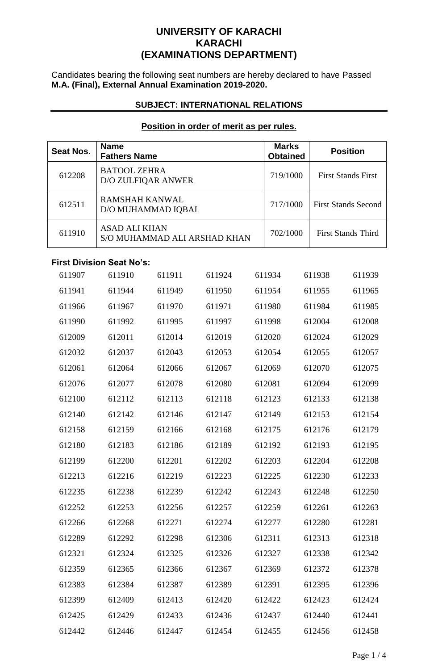# **UNIVERSITY OF KARACHI KARACHI (EXAMINATIONS DEPARTMENT)**

Candidates bearing the following seat numbers are hereby declared to have Passed **M.A. (Final), External Annual Examination 2019-2020.**

## **SUBJECT: INTERNATIONAL RELATIONS**

## **Position in order of merit as per rules.**

| <b>Seat Nos.</b> | <b>Name</b><br><b>Fathers Name</b> |                    |                              | <b>Marks</b><br><b>Obtained</b> | <b>Position</b> |        |                            |
|------------------|------------------------------------|--------------------|------------------------------|---------------------------------|-----------------|--------|----------------------------|
| 612208           | <b>BATOOL ZEHRA</b>                | D/O ZULFIQAR ANWER |                              |                                 | 719/1000        |        | <b>First Stands First</b>  |
| 612511           | <b>RAMSHAH KANWAL</b>              | D/O MUHAMMAD IQBAL |                              |                                 | 717/1000        |        | <b>First Stands Second</b> |
| 611910           | <b>ASAD ALI KHAN</b>               |                    | S/O MUHAMMAD ALI ARSHAD KHAN |                                 | 702/1000        |        | <b>First Stands Third</b>  |
|                  | <b>First Division Seat No's:</b>   |                    |                              |                                 |                 |        |                            |
| 611907           | 611910                             | 611911             | 611924                       |                                 | 611934          | 611938 | 611939                     |
| 611941           | 611944                             | 611949             | 611950                       |                                 | 611954          | 611955 | 611965                     |
| 611966           | 611967                             | 611970             | 611971                       |                                 | 611980          | 611984 | 611985                     |
| 611990           | 611992                             | 611995             | 611997                       |                                 | 611998          | 612004 | 612008                     |
| 612009           | 612011                             | 612014             | 612019                       |                                 | 612020          | 612024 | 612029                     |
| 612032           | 612037                             | 612043             | 612053                       |                                 | 612054          | 612055 | 612057                     |
| 612061           | 612064                             | 612066             | 612067                       |                                 | 612069          | 612070 | 612075                     |
| 612076           | 612077                             | 612078             | 612080                       |                                 | 612081          | 612094 | 612099                     |
| 612100           | 612112                             | 612113             | 612118                       |                                 | 612123          | 612133 | 612138                     |
| 612140           | 612142                             | 612146             | 612147                       |                                 | 612149          | 612153 | 612154                     |
| 612158           | 612159                             | 612166             | 612168                       |                                 | 612175          | 612176 | 612179                     |
| 612180           | 612183                             | 612186             | 612189                       |                                 | 612192          | 612193 | 612195                     |
| 612199           | 612200                             | 612201             | 612202                       |                                 | 612203          | 612204 | 612208                     |
| 612213           | 612216                             | 612219             | 612223                       |                                 | 612225          | 612230 | 612233                     |
| 612235           | 612238                             | 612239             | 612242                       |                                 | 612243          | 612248 | 612250                     |
| 612252           | 612253                             | 612256             | 612257                       |                                 | 612259          | 612261 | 612263                     |
| 612266           | 612268                             | 612271             | 612274                       |                                 | 612277          | 612280 | 612281                     |
| 612289           | 612292                             | 612298             | 612306                       |                                 | 612311          | 612313 | 612318                     |
| 612321           | 612324                             | 612325             | 612326                       |                                 | 612327          | 612338 | 612342                     |
| 612359           | 612365                             | 612366             | 612367                       |                                 | 612369          | 612372 | 612378                     |
| 612383           | 612384                             | 612387             | 612389                       |                                 | 612391          | 612395 | 612396                     |
| 612399           | 612409                             | 612413             | 612420                       |                                 | 612422          | 612423 | 612424                     |
| 612425           | 612429                             | 612433             | 612436                       |                                 | 612437          | 612440 | 612441                     |
| 612442           | 612446                             | 612447             | 612454                       |                                 | 612455          | 612456 | 612458                     |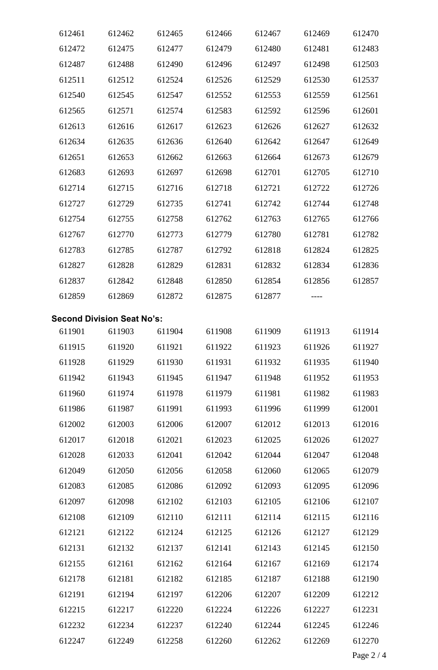| 612461 | 612462                            | 612465 | 612466                             | 612467 | 612469 | 612470 |
|--------|-----------------------------------|--------|------------------------------------|--------|--------|--------|
| 612472 | 612475                            | 612477 | 612479                             | 612480 | 612481 | 612483 |
| 612487 | 612488                            | 612490 | 612496                             | 612497 | 612498 | 612503 |
| 612511 | 612512                            | 612524 | 612526                             | 612529 | 612530 | 612537 |
| 612540 | 612545                            | 612547 | 612552                             | 612553 | 612559 | 612561 |
| 612565 | 612571                            | 612574 | 612583                             | 612592 | 612596 | 612601 |
| 612613 | 612616                            | 612617 | 612623                             | 612626 | 612627 | 612632 |
| 612634 | 612635                            | 612636 | 612640                             | 612642 | 612647 | 612649 |
| 612651 | 612653                            | 612662 | 612663                             | 612664 | 612673 | 612679 |
| 612683 | 612693                            | 612697 | 612698                             | 612701 | 612705 | 612710 |
| 612714 | 612715                            | 612716 | 612718                             | 612721 | 612722 | 612726 |
| 612727 | 612729                            | 612735 | 612741                             | 612742 | 612744 | 612748 |
| 612754 | 612755                            | 612758 | 612762                             | 612763 | 612765 | 612766 |
| 612767 | 612770                            | 612773 | 612779                             | 612780 | 612781 | 612782 |
| 612783 | 612785                            | 612787 | 612792                             | 612818 | 612824 | 612825 |
| 612827 | 612828                            | 612829 | 612831                             | 612832 | 612834 | 612836 |
| 612837 | 612842                            | 612848 | 612850                             | 612854 | 612856 | 612857 |
| 612859 | 612869                            | 612872 | 612875                             | 612877 |        |        |
|        | <b>Second Division Seat No's:</b> |        |                                    |        |        |        |
| 611901 | 611903                            | 611904 | 611908                             | 611909 | 611913 | 611914 |
|        |                                   |        | 611915 611920 611921 611922 611923 |        | 611926 | 611927 |
| 611928 | 611929                            | 611930 | 611931                             | 611932 | 611935 | 611940 |
| 611942 | 611943                            | 611945 | 611947                             | 611948 | 611952 | 611953 |
| 611960 | 611974                            | 611978 | 611979                             | 611981 | 611982 | 611983 |
| 611986 | 611987                            | 611991 | 611993                             | 611996 | 611999 | 612001 |
| 612002 | 612003                            | 612006 | 612007                             | 612012 | 612013 | 612016 |
| 612017 | 612018                            | 612021 | 612023                             | 612025 | 612026 | 612027 |
| 612028 | 612033                            | 612041 | 612042                             | 612044 | 612047 | 612048 |
| 612049 | 612050                            | 612056 | 612058                             | 612060 | 612065 | 612079 |
| 612083 | 612085                            | 612086 | 612092                             | 612093 | 612095 | 612096 |
| 612097 | 612098                            | 612102 | 612103                             | 612105 | 612106 | 612107 |
| 612108 | 612109                            | 612110 | 612111                             | 612114 | 612115 | 612116 |
| 612121 | 612122                            | 612124 | 612125                             | 612126 | 612127 | 612129 |
| 612131 | 612132                            | 612137 | 612141                             | 612143 | 612145 | 612150 |
| 612155 | 612161                            | 612162 | 612164                             | 612167 | 612169 | 612174 |
| 612178 | 612181                            | 612182 | 612185                             | 612187 | 612188 | 612190 |
| 612191 | 612194                            | 612197 | 612206                             | 612207 | 612209 | 612212 |
| 612215 | 612217                            | 612220 | 612224                             | 612226 | 612227 | 612231 |
| 612232 | 612234                            | 612237 | 612240                             | 612244 | 612245 | 612246 |
| 612247 | 612249                            | 612258 | 612260                             | 612262 | 612269 | 612270 |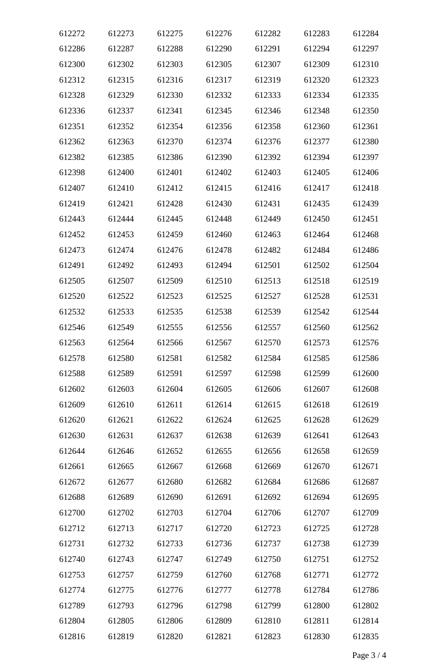| 612272 | 612273 | 612275 | 612276 | 612282 | 612283 | 612284 |
|--------|--------|--------|--------|--------|--------|--------|
| 612286 | 612287 | 612288 | 612290 | 612291 | 612294 | 612297 |
| 612300 | 612302 | 612303 | 612305 | 612307 | 612309 | 612310 |
| 612312 | 612315 | 612316 | 612317 | 612319 | 612320 | 612323 |
| 612328 | 612329 | 612330 | 612332 | 612333 | 612334 | 612335 |
| 612336 | 612337 | 612341 | 612345 | 612346 | 612348 | 612350 |
| 612351 | 612352 | 612354 | 612356 | 612358 | 612360 | 612361 |
| 612362 | 612363 | 612370 | 612374 | 612376 | 612377 | 612380 |
| 612382 | 612385 | 612386 | 612390 | 612392 | 612394 | 612397 |
| 612398 | 612400 | 612401 | 612402 | 612403 | 612405 | 612406 |
| 612407 | 612410 | 612412 | 612415 | 612416 | 612417 | 612418 |
| 612419 | 612421 | 612428 | 612430 | 612431 | 612435 | 612439 |
| 612443 | 612444 | 612445 | 612448 | 612449 | 612450 | 612451 |
| 612452 | 612453 | 612459 | 612460 | 612463 | 612464 | 612468 |
| 612473 | 612474 | 612476 | 612478 | 612482 | 612484 | 612486 |
| 612491 | 612492 | 612493 | 612494 | 612501 | 612502 | 612504 |
| 612505 | 612507 | 612509 | 612510 | 612513 | 612518 | 612519 |
| 612520 | 612522 | 612523 | 612525 | 612527 | 612528 | 612531 |
| 612532 | 612533 | 612535 | 612538 | 612539 | 612542 | 612544 |
| 612546 | 612549 | 612555 | 612556 | 612557 | 612560 | 612562 |
| 612563 | 612564 | 612566 | 612567 | 612570 | 612573 | 612576 |
| 612578 | 612580 | 612581 | 612582 | 612584 | 612585 | 612586 |
| 612588 | 612589 | 612591 | 612597 | 612598 | 612599 | 612600 |
| 612602 | 612603 | 612604 | 612605 | 612606 | 612607 | 612608 |
| 612609 | 612610 | 612611 | 612614 | 612615 | 612618 | 612619 |
| 612620 | 612621 | 612622 | 612624 | 612625 | 612628 | 612629 |
| 612630 | 612631 | 612637 | 612638 | 612639 | 612641 | 612643 |
| 612644 | 612646 | 612652 | 612655 | 612656 | 612658 | 612659 |
| 612661 | 612665 | 612667 | 612668 | 612669 | 612670 | 612671 |
| 612672 | 612677 | 612680 | 612682 | 612684 | 612686 | 612687 |
| 612688 | 612689 | 612690 | 612691 | 612692 | 612694 | 612695 |
| 612700 | 612702 | 612703 | 612704 | 612706 | 612707 | 612709 |
| 612712 | 612713 | 612717 | 612720 | 612723 | 612725 | 612728 |
| 612731 | 612732 | 612733 | 612736 | 612737 | 612738 | 612739 |
| 612740 | 612743 | 612747 | 612749 | 612750 | 612751 | 612752 |
| 612753 | 612757 | 612759 | 612760 | 612768 | 612771 | 612772 |
| 612774 | 612775 | 612776 | 612777 | 612778 | 612784 | 612786 |
| 612789 | 612793 | 612796 | 612798 | 612799 | 612800 | 612802 |
| 612804 | 612805 | 612806 | 612809 | 612810 | 612811 | 612814 |
| 612816 | 612819 | 612820 | 612821 | 612823 | 612830 | 612835 |